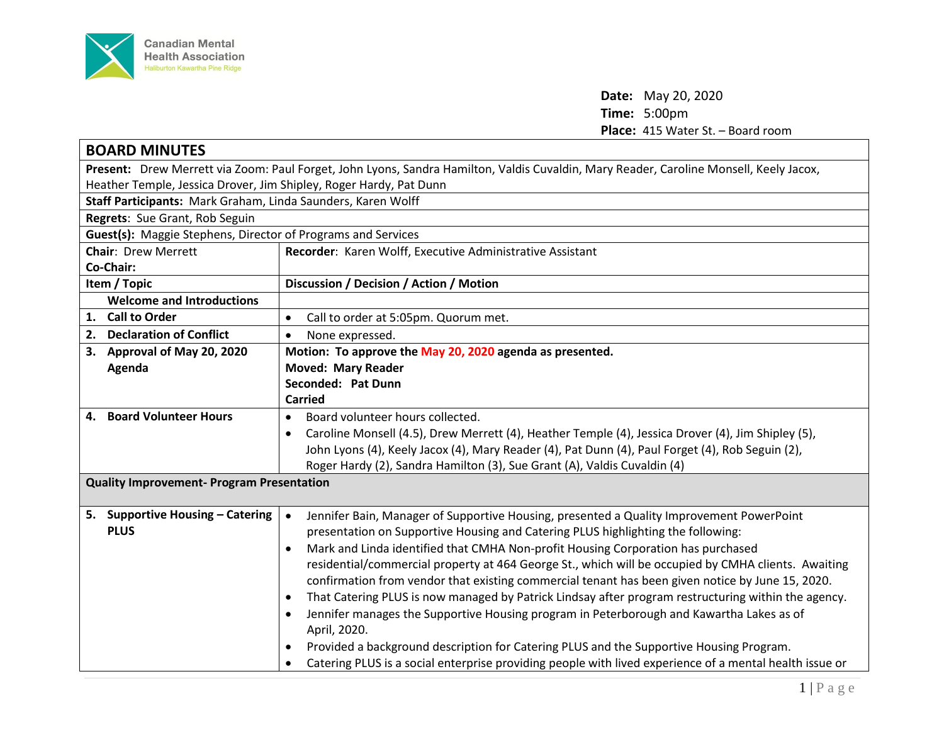

**Date:** May 20, 2020 **Time:** 5:00pm Place: 415 Water St. - Board room

| <b>BOARD MINUTES</b>                                                                                                                   |                                                                                                                  |  |
|----------------------------------------------------------------------------------------------------------------------------------------|------------------------------------------------------------------------------------------------------------------|--|
| Present: Drew Merrett via Zoom: Paul Forget, John Lyons, Sandra Hamilton, Valdis Cuvaldin, Mary Reader, Caroline Monsell, Keely Jacox, |                                                                                                                  |  |
| Heather Temple, Jessica Drover, Jim Shipley, Roger Hardy, Pat Dunn                                                                     |                                                                                                                  |  |
| Staff Participants: Mark Graham, Linda Saunders, Karen Wolff                                                                           |                                                                                                                  |  |
| Regrets: Sue Grant, Rob Seguin                                                                                                         |                                                                                                                  |  |
| Guest(s): Maggie Stephens, Director of Programs and Services                                                                           |                                                                                                                  |  |
| <b>Chair: Drew Merrett</b>                                                                                                             | Recorder: Karen Wolff, Executive Administrative Assistant                                                        |  |
| Co-Chair:                                                                                                                              |                                                                                                                  |  |
| Item / Topic                                                                                                                           | Discussion / Decision / Action / Motion                                                                          |  |
| <b>Welcome and Introductions</b>                                                                                                       |                                                                                                                  |  |
| 1. Call to Order                                                                                                                       | Call to order at 5:05pm. Quorum met.<br>$\bullet$                                                                |  |
| 2. Declaration of Conflict                                                                                                             | None expressed.<br>$\bullet$                                                                                     |  |
| 3. Approval of May 20, 2020                                                                                                            | Motion: To approve the May 20, 2020 agenda as presented.                                                         |  |
| Agenda                                                                                                                                 | <b>Moved: Mary Reader</b>                                                                                        |  |
|                                                                                                                                        | Seconded: Pat Dunn                                                                                               |  |
|                                                                                                                                        | <b>Carried</b>                                                                                                   |  |
| 4. Board Volunteer Hours                                                                                                               | Board volunteer hours collected.<br>$\bullet$                                                                    |  |
|                                                                                                                                        | Caroline Monsell (4.5), Drew Merrett (4), Heather Temple (4), Jessica Drover (4), Jim Shipley (5),<br>$\bullet$  |  |
|                                                                                                                                        | John Lyons (4), Keely Jacox (4), Mary Reader (4), Pat Dunn (4), Paul Forget (4), Rob Seguin (2),                 |  |
|                                                                                                                                        | Roger Hardy (2), Sandra Hamilton (3), Sue Grant (A), Valdis Cuvaldin (4)                                         |  |
| <b>Quality Improvement- Program Presentation</b>                                                                                       |                                                                                                                  |  |
|                                                                                                                                        |                                                                                                                  |  |
| 5. Supportive Housing - Catering                                                                                                       | Jennifer Bain, Manager of Supportive Housing, presented a Quality Improvement PowerPoint                         |  |
| <b>PLUS</b>                                                                                                                            | presentation on Supportive Housing and Catering PLUS highlighting the following:                                 |  |
|                                                                                                                                        | Mark and Linda identified that CMHA Non-profit Housing Corporation has purchased<br>$\bullet$                    |  |
|                                                                                                                                        | residential/commercial property at 464 George St., which will be occupied by CMHA clients. Awaiting              |  |
|                                                                                                                                        | confirmation from vendor that existing commercial tenant has been given notice by June 15, 2020.                 |  |
|                                                                                                                                        | That Catering PLUS is now managed by Patrick Lindsay after program restructuring within the agency.<br>$\bullet$ |  |
|                                                                                                                                        | Jennifer manages the Supportive Housing program in Peterborough and Kawartha Lakes as of<br>$\bullet$            |  |
|                                                                                                                                        | April, 2020.                                                                                                     |  |
|                                                                                                                                        | Provided a background description for Catering PLUS and the Supportive Housing Program.<br>$\bullet$             |  |
|                                                                                                                                        | Catering PLUS is a social enterprise providing people with lived experience of a mental health issue or          |  |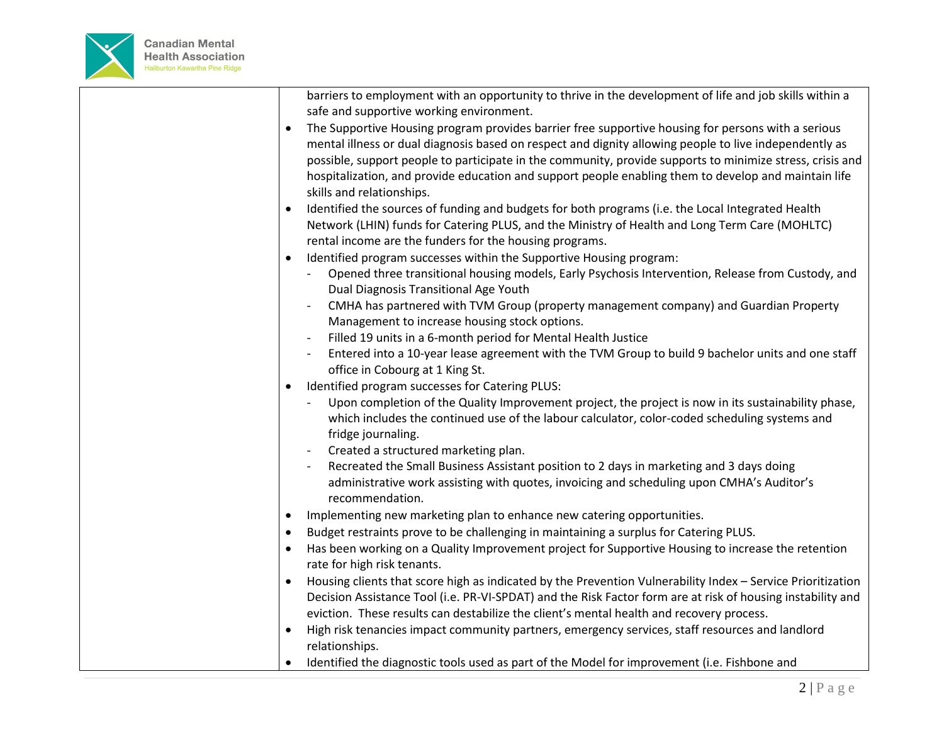

barriers to employment with an opportunity to thrive in the development of life and job skills within a safe and supportive working environment.

- The Supportive Housing program provides barrier free supportive housing for persons with a serious mental illness or dual diagnosis based on respect and dignity allowing people to live independently as possible, support people to participate in the community, provide supports to minimize stress, crisis and hospitalization, and provide education and support people enabling them to develop and maintain life skills and relationships.
- Identified the sources of funding and budgets for both programs (i.e. the Local Integrated Health Network (LHIN) funds for Catering PLUS, and the Ministry of Health and Long Term Care (MOHLTC) rental income are the funders for the housing programs.
- Identified program successes within the Supportive Housing program:
	- Opened three transitional housing models, Early Psychosis Intervention, Release from Custody, and Dual Diagnosis Transitional Age Youth
	- CMHA has partnered with TVM Group (property management company) and Guardian Property Management to increase housing stock options.
	- Filled 19 units in a 6-month period for Mental Health Justice
	- Entered into a 10-year lease agreement with the TVM Group to build 9 bachelor units and one staff office in Cobourg at 1 King St.
- $\bullet$  Identified program successes for Catering PLUS:
	- Upon completion of the Quality Improvement project, the project is now in its sustainability phase, which includes the continued use of the labour calculator, color-coded scheduling systems and fridge journaling.
	- Created a structured marketing plan.
	- Recreated the Small Business Assistant position to 2 days in marketing and 3 days doing administrative work assisting with quotes, invoicing and scheduling upon CMHA's Auditor's recommendation.
- Implementing new marketing plan to enhance new catering opportunities.
- Budget restraints prove to be challenging in maintaining a surplus for Catering PLUS.
- Has been working on a Quality Improvement project for Supportive Housing to increase the retention rate for high risk tenants.
- Housing clients that score high as indicated by the Prevention Vulnerability Index Service Prioritization Decision Assistance Tool (i.e. PR-VI-SPDAT) and the Risk Factor form are at risk of housing instability and eviction. These results can destabilize the client's mental health and recovery process.
- High risk tenancies impact community partners, emergency services, staff resources and landlord relationships.
- Identified the diagnostic tools used as part of the Model for improvement (i.e. Fishbone and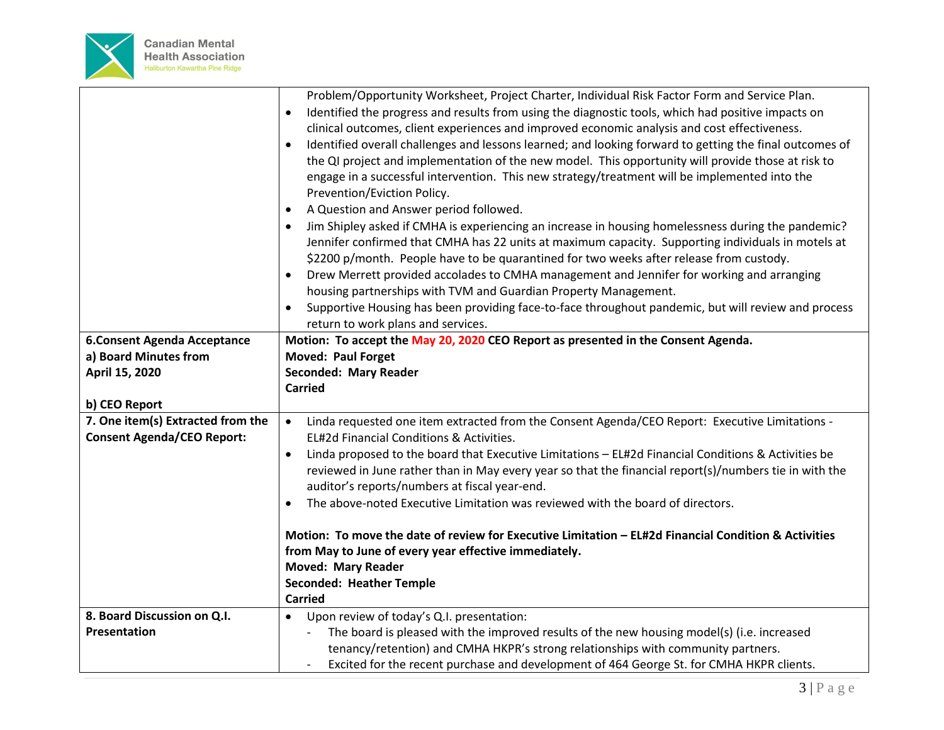

|                                    | Problem/Opportunity Worksheet, Project Charter, Individual Risk Factor Form and Service Plan.                        |
|------------------------------------|----------------------------------------------------------------------------------------------------------------------|
|                                    | Identified the progress and results from using the diagnostic tools, which had positive impacts on<br>$\bullet$      |
|                                    | clinical outcomes, client experiences and improved economic analysis and cost effectiveness.                         |
|                                    | Identified overall challenges and lessons learned; and looking forward to getting the final outcomes of<br>$\bullet$ |
|                                    | the QI project and implementation of the new model. This opportunity will provide those at risk to                   |
|                                    | engage in a successful intervention. This new strategy/treatment will be implemented into the                        |
|                                    | Prevention/Eviction Policy.                                                                                          |
|                                    | A Question and Answer period followed.<br>$\bullet$                                                                  |
|                                    | Jim Shipley asked if CMHA is experiencing an increase in housing homelessness during the pandemic?<br>$\bullet$      |
|                                    | Jennifer confirmed that CMHA has 22 units at maximum capacity. Supporting individuals in motels at                   |
|                                    | \$2200 p/month. People have to be quarantined for two weeks after release from custody.                              |
|                                    | Drew Merrett provided accolades to CMHA management and Jennifer for working and arranging<br>$\bullet$               |
|                                    | housing partnerships with TVM and Guardian Property Management.                                                      |
|                                    | Supportive Housing has been providing face-to-face throughout pandemic, but will review and process<br>$\bullet$     |
|                                    | return to work plans and services.                                                                                   |
| <b>6.Consent Agenda Acceptance</b> | Motion: To accept the May 20, 2020 CEO Report as presented in the Consent Agenda.                                    |
| a) Board Minutes from              | <b>Moved: Paul Forget</b>                                                                                            |
| April 15, 2020                     | Seconded: Mary Reader                                                                                                |
|                                    |                                                                                                                      |
|                                    | <b>Carried</b>                                                                                                       |
| b) CEO Report                      |                                                                                                                      |
| 7. One item(s) Extracted from the  | Linda requested one item extracted from the Consent Agenda/CEO Report: Executive Limitations -<br>$\bullet$          |
| <b>Consent Agenda/CEO Report:</b>  | EL#2d Financial Conditions & Activities.                                                                             |
|                                    | Linda proposed to the board that Executive Limitations - EL#2d Financial Conditions & Activities be<br>$\bullet$     |
|                                    | reviewed in June rather than in May every year so that the financial report(s)/numbers tie in with the               |
|                                    | auditor's reports/numbers at fiscal year-end.<br>$\bullet$                                                           |
|                                    | The above-noted Executive Limitation was reviewed with the board of directors.                                       |
|                                    | Motion: To move the date of review for Executive Limitation - EL#2d Financial Condition & Activities                 |
|                                    | from May to June of every year effective immediately.                                                                |
|                                    | <b>Moved: Mary Reader</b>                                                                                            |
|                                    | <b>Seconded: Heather Temple</b>                                                                                      |
|                                    | <b>Carried</b>                                                                                                       |
| 8. Board Discussion on Q.I.        | Upon review of today's Q.I. presentation:<br>$\bullet$                                                               |
| Presentation                       | The board is pleased with the improved results of the new housing model(s) (i.e. increased                           |
|                                    | tenancy/retention) and CMHA HKPR's strong relationships with community partners.                                     |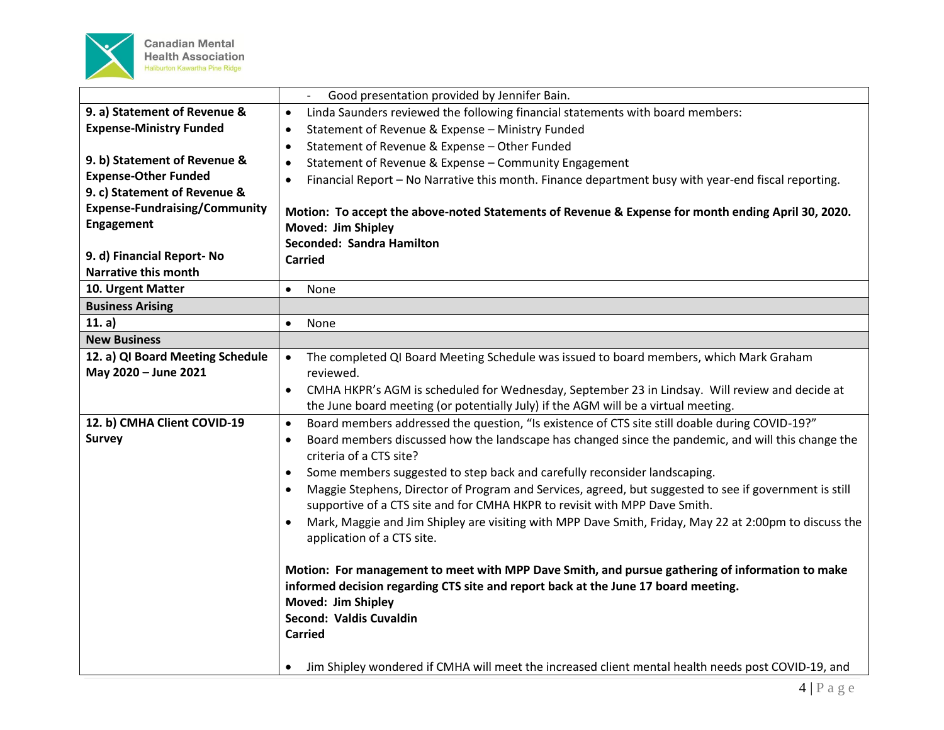

|                                      | Good presentation provided by Jennifer Bain.<br>$\overline{\phantom{a}}$                                            |
|--------------------------------------|---------------------------------------------------------------------------------------------------------------------|
| 9. a) Statement of Revenue &         | Linda Saunders reviewed the following financial statements with board members:<br>$\bullet$                         |
| <b>Expense-Ministry Funded</b>       | Statement of Revenue & Expense - Ministry Funded<br>$\bullet$                                                       |
|                                      | Statement of Revenue & Expense - Other Funded<br>$\bullet$                                                          |
| 9. b) Statement of Revenue &         | Statement of Revenue & Expense - Community Engagement<br>$\bullet$                                                  |
| <b>Expense-Other Funded</b>          | Financial Report - No Narrative this month. Finance department busy with year-end fiscal reporting.<br>$\bullet$    |
| 9. c) Statement of Revenue &         |                                                                                                                     |
| <b>Expense-Fundraising/Community</b> | Motion: To accept the above-noted Statements of Revenue & Expense for month ending April 30, 2020.                  |
| Engagement                           | Moved: Jim Shipley                                                                                                  |
|                                      | Seconded: Sandra Hamilton                                                                                           |
| 9. d) Financial Report- No           | <b>Carried</b>                                                                                                      |
| <b>Narrative this month</b>          |                                                                                                                     |
| 10. Urgent Matter                    | None<br>$\bullet$                                                                                                   |
| <b>Business Arising</b>              |                                                                                                                     |
| 11. a)                               | None<br>$\bullet$                                                                                                   |
| <b>New Business</b>                  |                                                                                                                     |
| 12. a) QI Board Meeting Schedule     | The completed QI Board Meeting Schedule was issued to board members, which Mark Graham                              |
| May 2020 - June 2021                 | reviewed.                                                                                                           |
|                                      | CMHA HKPR's AGM is scheduled for Wednesday, September 23 in Lindsay. Will review and decide at<br>$\bullet$         |
|                                      | the June board meeting (or potentially July) if the AGM will be a virtual meeting.                                  |
| 12. b) CMHA Client COVID-19          | Board members addressed the question, "Is existence of CTS site still doable during COVID-19?"<br>$\bullet$         |
| <b>Survey</b>                        | Board members discussed how the landscape has changed since the pandemic, and will this change the<br>$\bullet$     |
|                                      | criteria of a CTS site?                                                                                             |
|                                      | Some members suggested to step back and carefully reconsider landscaping.<br>$\bullet$                              |
|                                      | Maggie Stephens, Director of Program and Services, agreed, but suggested to see if government is still              |
|                                      | supportive of a CTS site and for CMHA HKPR to revisit with MPP Dave Smith.                                          |
|                                      | Mark, Maggie and Jim Shipley are visiting with MPP Dave Smith, Friday, May 22 at 2:00pm to discuss the<br>$\bullet$ |
|                                      | application of a CTS site.                                                                                          |
|                                      |                                                                                                                     |
|                                      | Motion: For management to meet with MPP Dave Smith, and pursue gathering of information to make                     |
|                                      | informed decision regarding CTS site and report back at the June 17 board meeting.                                  |
|                                      | Moved: Jim Shipley                                                                                                  |
|                                      | Second: Valdis Cuvaldin                                                                                             |
|                                      | <b>Carried</b>                                                                                                      |
|                                      |                                                                                                                     |
|                                      | Jim Shipley wondered if CMHA will meet the increased client mental health needs post COVID-19, and                  |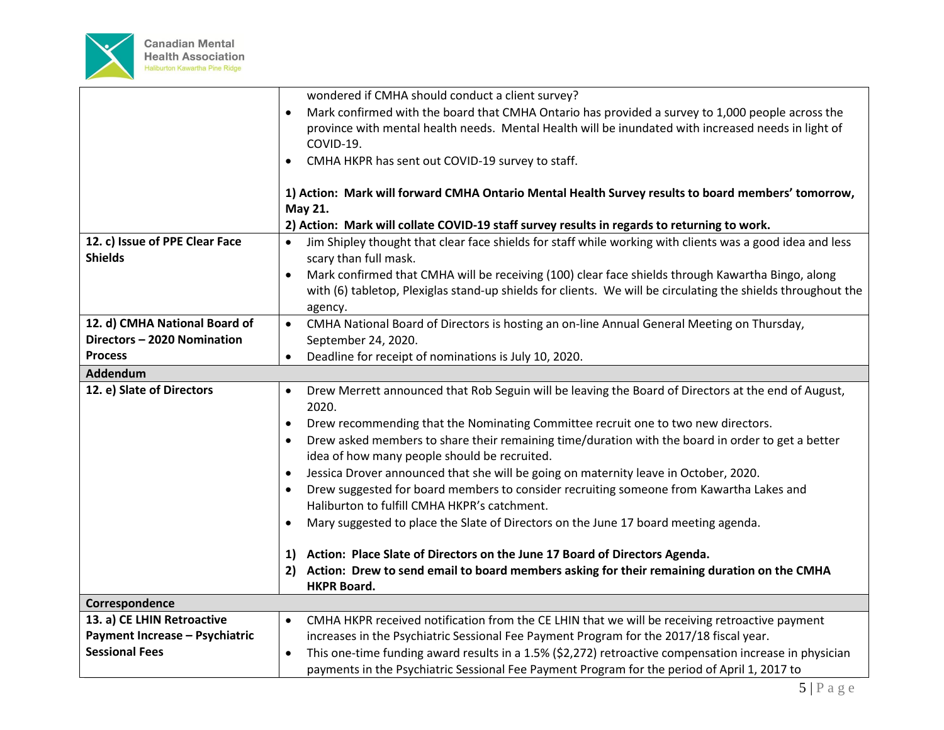

|                                       | wondered if CMHA should conduct a client survey?                                                                          |
|---------------------------------------|---------------------------------------------------------------------------------------------------------------------------|
|                                       | Mark confirmed with the board that CMHA Ontario has provided a survey to 1,000 people across the                          |
|                                       | province with mental health needs. Mental Health will be inundated with increased needs in light of                       |
|                                       | COVID-19.                                                                                                                 |
|                                       | CMHA HKPR has sent out COVID-19 survey to staff.<br>٠                                                                     |
|                                       |                                                                                                                           |
|                                       | 1) Action: Mark will forward CMHA Ontario Mental Health Survey results to board members' tomorrow,                        |
|                                       | May 21.                                                                                                                   |
|                                       | 2) Action: Mark will collate COVID-19 staff survey results in regards to returning to work.                               |
| 12. c) Issue of PPE Clear Face        | Jim Shipley thought that clear face shields for staff while working with clients was a good idea and less<br>$\bullet$    |
| <b>Shields</b>                        | scary than full mask.                                                                                                     |
|                                       | Mark confirmed that CMHA will be receiving (100) clear face shields through Kawartha Bingo, along<br>$\bullet$            |
|                                       | with (6) tabletop, Plexiglas stand-up shields for clients. We will be circulating the shields throughout the              |
|                                       | agency.                                                                                                                   |
| 12. d) CMHA National Board of         | CMHA National Board of Directors is hosting an on-line Annual General Meeting on Thursday,<br>$\bullet$                   |
| Directors - 2020 Nomination           | September 24, 2020.                                                                                                       |
| <b>Process</b>                        | Deadline for receipt of nominations is July 10, 2020.<br>$\bullet$                                                        |
| Addendum                              |                                                                                                                           |
| 12. e) Slate of Directors             | Drew Merrett announced that Rob Seguin will be leaving the Board of Directors at the end of August,<br>$\bullet$<br>2020. |
|                                       | Drew recommending that the Nominating Committee recruit one to two new directors.<br>$\bullet$                            |
|                                       | Drew asked members to share their remaining time/duration with the board in order to get a better<br>$\bullet$            |
|                                       | idea of how many people should be recruited.                                                                              |
|                                       | Jessica Drover announced that she will be going on maternity leave in October, 2020.<br>$\bullet$                         |
|                                       | Drew suggested for board members to consider recruiting someone from Kawartha Lakes and<br>$\bullet$                      |
|                                       | Haliburton to fulfill CMHA HKPR's catchment.                                                                              |
|                                       | Mary suggested to place the Slate of Directors on the June 17 board meeting agenda.<br>$\bullet$                          |
|                                       | 1) Action: Place Slate of Directors on the June 17 Board of Directors Agenda.                                             |
|                                       | Action: Drew to send email to board members asking for their remaining duration on the CMHA                               |
|                                       | <b>HKPR Board.</b>                                                                                                        |
| Correspondence                        |                                                                                                                           |
| 13. a) CE LHIN Retroactive            | CMHA HKPR received notification from the CE LHIN that we will be receiving retroactive payment<br>$\bullet$               |
| <b>Payment Increase - Psychiatric</b> | increases in the Psychiatric Sessional Fee Payment Program for the 2017/18 fiscal year.                                   |
| <b>Sessional Fees</b>                 | This one-time funding award results in a 1.5% (\$2,272) retroactive compensation increase in physician<br>$\bullet$       |
|                                       | payments in the Psychiatric Sessional Fee Payment Program for the period of April 1, 2017 to                              |